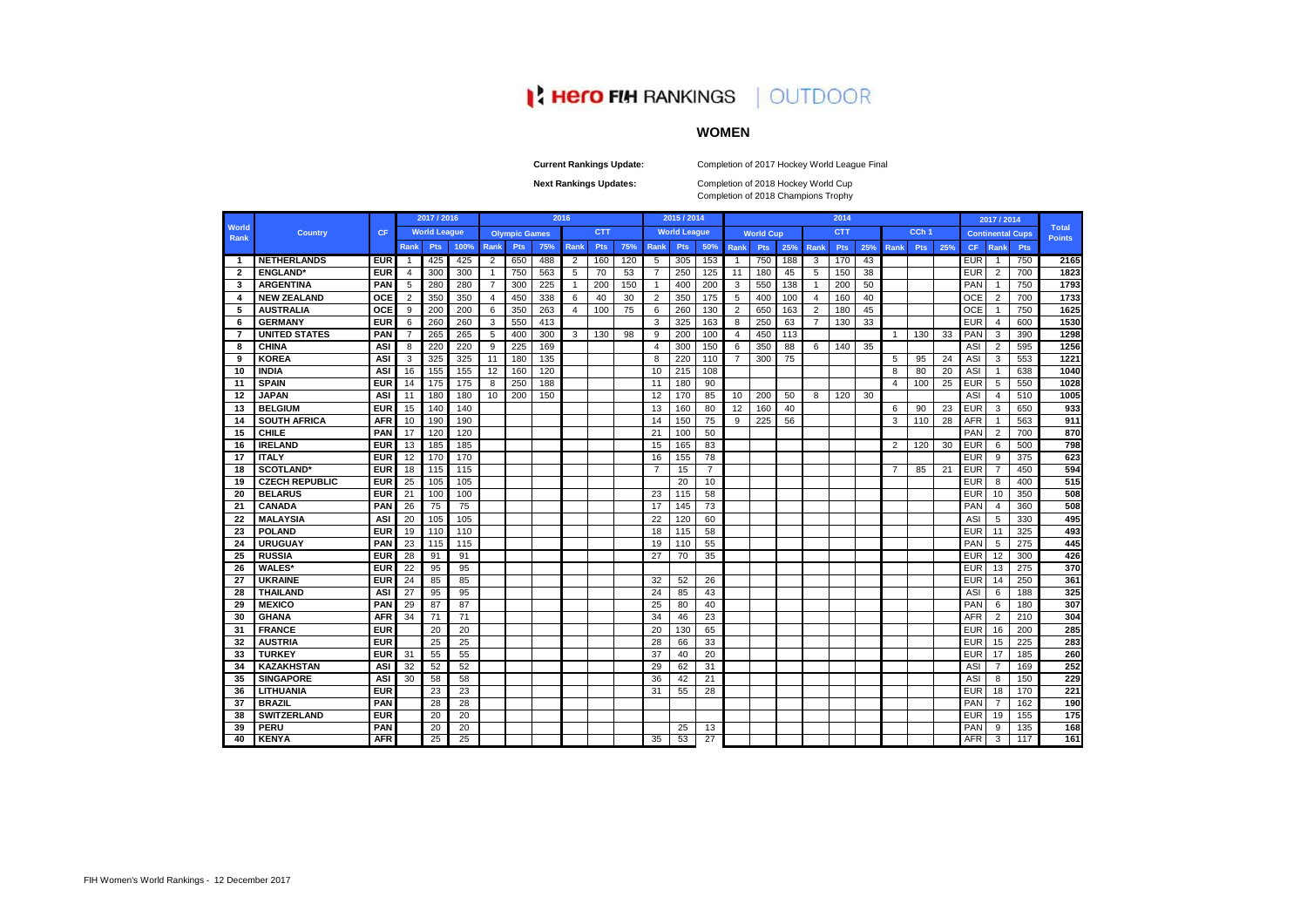|                             |                       |            | 2017 / 2016    |                     |      |                |                      |     | 2016 |            |     |      | 2015 / 2014         |                 |                |                  |     |                | 2014       |     |                |                  |     |            | 2017 / 2014    |                         |                               |
|-----------------------------|-----------------------|------------|----------------|---------------------|------|----------------|----------------------|-----|------|------------|-----|------|---------------------|-----------------|----------------|------------------|-----|----------------|------------|-----|----------------|------------------|-----|------------|----------------|-------------------------|-------------------------------|
| <b>World</b><br><b>Rank</b> | <b>Country</b>        | <b>CF</b>  |                | <b>World League</b> |      |                | <b>Olympic Games</b> |     |      | <b>CTT</b> |     |      | <b>World League</b> |                 |                | <b>World Cup</b> |     |                | <b>CTT</b> |     |                | CCh <sub>1</sub> |     |            |                | <b>Continental Cups</b> | <b>Total</b><br><b>Points</b> |
|                             |                       |            | Rank           | <b>Pts</b>          | 100% | Rank           | <b>Pts</b>           | 75% | Rank | <b>Pts</b> | 75% | Rank | <b>Pts</b>          | 50%             | Rank           | <b>Pts</b>       | 25% | Rank           | <b>Pts</b> | 25% | Rank           | <b>Pts</b>       | 25% | <b>CF</b>  | Rank           | <b>Pts</b>              |                               |
| $\blacksquare$              | <b>NETHERLANDS</b>    | <b>EUR</b> | -1             | 425                 | 425  | $\overline{2}$ | 650                  | 488 | 2    | 160        | 120 | 5    | 305                 | 153             | -1             | 750              | 188 | 3              | 170        | 43  |                |                  |     | <b>EUR</b> | $\overline{1}$ | 750                     | 2165                          |
| $\mathbf{2}$                | <b>ENGLAND</b> *      | <b>EUR</b> | 4              | 300                 | 300  | $\overline{1}$ | 750                  | 563 | 5    | 70         | 53  | 7    | 250                 | 125             | 11             | 180              | 45  | 5              | 150        | 38  |                |                  |     | <b>EUR</b> | $\overline{2}$ | 700                     | 1823                          |
| 3                           | <b>ARGENTINA</b>      | <b>PAN</b> | 5              | 280                 | 280  | 7              | 300                  | 225 |      | 200        | 150 | -1   | 400                 | 200             | 3              | 550              | 138 | -1             | 200        | 50  |                |                  |     | PAN        | $\overline{1}$ | 750                     | 1793                          |
| 4                           | <b>NEW ZEALAND</b>    | <b>OCE</b> | 2              | 350                 | 350  | $\overline{4}$ | 450                  | 338 | 6    | 40         | 30  | 2    | 350                 | 175             | 5              | 400              | 100 | $\overline{4}$ | 160        | 40  |                |                  |     | <b>OCE</b> | $\overline{2}$ | 700                     | 1733                          |
| -5                          | <b>AUSTRALIA</b>      | <b>OCE</b> | 9              | 200                 | 200  | 6              | 350                  | 263 | 4    | 100        | 75  | 6    | 260                 | 130             | 2              | 650              | 163 | $\overline{2}$ | 180        | 45  |                |                  |     | <b>OCE</b> | -1             | 750                     | 1625                          |
| 6                           | <b>GERMANY</b>        | <b>EUR</b> | 6              | 260                 | 260  | 3              | 550                  | 413 |      |            |     | 3    | 325                 | 163             | 8              | 250              | 63  | -7             | 130        | 33  |                |                  |     | <b>EUR</b> | $\overline{4}$ | 600                     | 1530                          |
| -7                          | <b>UNITED STATES</b>  | PAN        | $\overline{7}$ | 265                 | 265  | 5              | 400                  | 300 | 3    | 130        | 98  | 9    | 200                 | 100             | 4              | 450              | 113 |                |            |     | $\overline{1}$ | 130              | 33  | <b>PAN</b> | 3              | 390                     | 1298                          |
| -8                          | <b>CHINA</b>          | <b>ASI</b> | 8              | 220                 | 220  | 9              | 225                  | 169 |      |            |     | 4    | 300                 | 150             | 6              | 350              | 88  | 6              | 140        | 35  |                |                  |     | <b>ASI</b> | $\overline{2}$ | 595                     | 1256                          |
| 9                           | <b>KOREA</b>          | <b>ASI</b> | 3              | 325                 | 325  | 11             | 180                  | 135 |      |            |     | 8    | 220                 | 110             | $\overline{7}$ | 300              | 75  |                |            |     | -5             | 95               | 24  | ASI        | 3              | 553                     | 1221                          |
| 10                          | <b>INDIA</b>          | <b>ASI</b> | 16             | 155                 | 155  | 12             | 160                  | 120 |      |            |     | 10   | 215                 | 108             |                |                  |     |                |            |     | 8              | 80               | 20  | ASI        | $\overline{1}$ | 638                     | 1040                          |
| 11                          | <b>SPAIN</b>          | <b>EUR</b> | 14             | 175                 | 175  | 8              | 250                  | 188 |      |            |     | 11   | 180                 | 90              |                |                  |     |                |            |     | 4              | 100              | 25  | <b>EUR</b> | 5              | 550                     | 1028                          |
| 12                          | <b>JAPAN</b>          | <b>ASI</b> | 11             | 180                 | 180  | 10             | 200                  | 150 |      |            |     | 12   | 170                 | 85              | 10             | 200              | 50  | 8              | 120        | 30  |                |                  |     | ASI        | 4              | 510                     | 1005                          |
| 13                          | <b>BELGIUM</b>        | <b>EUR</b> | 15             | 140                 | 140  |                |                      |     |      |            |     | 13   | 160                 | 80              | 12             | 160              | 40  |                |            |     | 6              | 90               | 23  | <b>EUR</b> | 3              | 650                     | 933                           |
| 14                          | <b>SOUTH AFRICA</b>   | <b>AFR</b> | 10             | 190                 | 190  |                |                      |     |      |            |     | 14   | 150                 | 75              | 9              | 225              | 56  |                |            |     | 3              | 110              | 28  | <b>AFR</b> | $\overline{1}$ | 563                     | 911                           |
| 15                          | <b>CHILE</b>          | <b>PAN</b> | 17             | 120                 | 120  |                |                      |     |      |            |     | 21   | 100                 | 50              |                |                  |     |                |            |     |                |                  |     | PAN        | $\overline{2}$ | 700                     | 870                           |
| 16                          | <b>IRELAND</b>        | <b>EUR</b> | 13             | 185                 | 185  |                |                      |     |      |            |     | 15   | 165                 | 83              |                |                  |     |                |            |     | 2              | 120              | 30  | <b>EUR</b> | 6              | 500                     | 798                           |
| 17                          | <b>ITALY</b>          | <b>EUR</b> | 12             | 170                 | 170  |                |                      |     |      |            |     | 16   | 155                 | 78              |                |                  |     |                |            |     |                |                  |     | <b>EUR</b> | 9              | 375                     | 623                           |
| 18                          | <b>SCOTLAND*</b>      | <b>EUR</b> | 18             | 115                 | 115  |                |                      |     |      |            |     | 7    | 15                  | 7               |                |                  |     |                |            |     | $\overline{7}$ | 85               | 21  | <b>EUR</b> | 7              | 450                     | 594                           |
| 19                          | <b>CZECH REPUBLIC</b> | <b>EUR</b> | 25             | 105                 | 105  |                |                      |     |      |            |     |      | 20                  | 10              |                |                  |     |                |            |     |                |                  |     | <b>EUR</b> | 8              | 400                     | 515                           |
| 20                          | <b>BELARUS</b>        | <b>EUR</b> | 21             | 100                 | 100  |                |                      |     |      |            |     | 23   | 115                 | 58              |                |                  |     |                |            |     |                |                  |     | <b>EUR</b> | 10             | 350                     | 508                           |
| 21                          | <b>CANADA</b>         | <b>PAN</b> | 26             | 75                  | 75   |                |                      |     |      |            |     | 17   | 145                 | 73              |                |                  |     |                |            |     |                |                  |     | PAN        | $\overline{4}$ | 360                     | 508                           |
| 22                          | <b>MALAYSIA</b>       | <b>ASI</b> | 20             | 105                 | 105  |                |                      |     |      |            |     | 22   | 120                 | 60              |                |                  |     |                |            |     |                |                  |     | ASI        | 5              | 330                     | 495                           |
| 23                          | <b>POLAND</b>         | <b>EUR</b> | 19             | 110                 | 110  |                |                      |     |      |            |     | 18   | 115                 | 58              |                |                  |     |                |            |     |                |                  |     | <b>EUR</b> | 11             | 325                     | 493                           |
| 24                          | <b>URUGUAY</b>        | <b>PAN</b> | 23             | 115                 | 115  |                |                      |     |      |            |     | 19   | 110                 | 55              |                |                  |     |                |            |     |                |                  |     | PAN        | 5              | 275                     | 445                           |
| 25                          | <b>RUSSIA</b>         | <b>EUR</b> | 28             | 91                  | 91   |                |                      |     |      |            |     | 27   | 70                  | 35              |                |                  |     |                |            |     |                |                  |     | <b>EUR</b> | 12             | 300                     | 426                           |
| 26                          | <b>WALES*</b>         | <b>EUR</b> | 22             | 95                  | 95   |                |                      |     |      |            |     |      |                     |                 |                |                  |     |                |            |     |                |                  |     | <b>EUR</b> | 13             | 275                     | 370                           |
| 27                          | <b>UKRAINE</b>        | <b>EUR</b> | 24             | 85                  | 85   |                |                      |     |      |            |     | 32   | 52                  | 26              |                |                  |     |                |            |     |                |                  |     | <b>EUR</b> | 14             | 250                     | 361                           |
| 28                          | <b>THAILAND</b>       | <b>ASI</b> | 27             | 95                  | 95   |                |                      |     |      |            |     | 24   | 85                  | 43              |                |                  |     |                |            |     |                |                  |     | ASI        | 6              | 188                     | 325                           |
| 29                          | <b>MEXICO</b>         | <b>PAN</b> | 29             | 87                  | 87   |                |                      |     |      |            |     | 25   | 80                  | 40              |                |                  |     |                |            |     |                |                  |     | <b>PAN</b> | 6              | 180                     | 307                           |
| 30                          | <b>GHANA</b>          | <b>AFR</b> | 34             | 71                  | 71   |                |                      |     |      |            |     | 34   | 46                  | 23              |                |                  |     |                |            |     |                |                  |     | <b>AFR</b> | $\overline{2}$ | 210                     | 304                           |
| 31                          | <b>FRANCE</b>         | <b>EUR</b> |                | 20                  | 20   |                |                      |     |      |            |     | 20   | 130                 | 65              |                |                  |     |                |            |     |                |                  |     | <b>EUR</b> | 16             | 200                     | 285                           |
| 32                          | <b>AUSTRIA</b>        | <b>EUR</b> |                | 25                  | 25   |                |                      |     |      |            |     | 28   | 66                  | 33              |                |                  |     |                |            |     |                |                  |     | <b>EUR</b> | 15             | 225                     | 283                           |
| 33                          | <b>TURKEY</b>         | <b>EUR</b> | 31             | 55                  | 55   |                |                      |     |      |            |     | 37   | 40                  | 20              |                |                  |     |                |            |     |                |                  |     | <b>EUR</b> | 17             | 185                     | 260                           |
| 34                          | <b>KAZAKHSTAN</b>     | <b>ASI</b> | 32             | 52                  | 52   |                |                      |     |      |            |     | 29   | 62                  | 31              |                |                  |     |                |            |     |                |                  |     | ASI        | $\overline{7}$ | 169                     | 252                           |
| 35                          | <b>SINGAPORE</b>      | <b>ASI</b> | 30             | 58                  | 58   |                |                      |     |      |            |     | 36   | 42                  | 21              |                |                  |     |                |            |     |                |                  |     | ASI        | 8              | 150                     | 229                           |
| 36                          | <b>LITHUANIA</b>      | <b>EUR</b> |                | 23                  | 23   |                |                      |     |      |            |     | 31   | 55                  | 28              |                |                  |     |                |            |     |                |                  |     | <b>EUR</b> | 18             | 170                     | 221                           |
| 37                          | <b>BRAZIL</b>         | PAN        |                | 28                  | 28   |                |                      |     |      |            |     |      |                     |                 |                |                  |     |                |            |     |                |                  |     | PAN        | 7              | 162                     | 190                           |
| 38                          | <b>SWITZERLAND</b>    | <b>EUR</b> |                | 20                  | 20   |                |                      |     |      |            |     |      |                     |                 |                |                  |     |                |            |     |                |                  |     | <b>EUR</b> | 19             | 155                     | $\frac{1}{175}$               |
| 39                          | <b>PERU</b>           | <b>PAN</b> |                | 20                  | 20   |                |                      |     |      |            |     |      | 25                  | 13              |                |                  |     |                |            |     |                |                  |     | <b>PAN</b> | 9              | 135                     | 168                           |
| 40                          | <b>KENYA</b>          | <b>AFR</b> |                | 25                  | 25   |                |                      |     |      |            |     | 35   | 53                  | $\overline{27}$ |                |                  |     |                |            |     |                |                  |     | AFR        | 3              | 117                     | 161                           |

# **IN HERO FIM RANKINGS | OUTDOOR**

# **WOMEN**

Completion of 2018 Champions Trophy Completion of 2018 Hockey World Cup

**Current Rankings Update:**

**Next Rankings Updates:** 

Completion of 2017 Hockey World League Final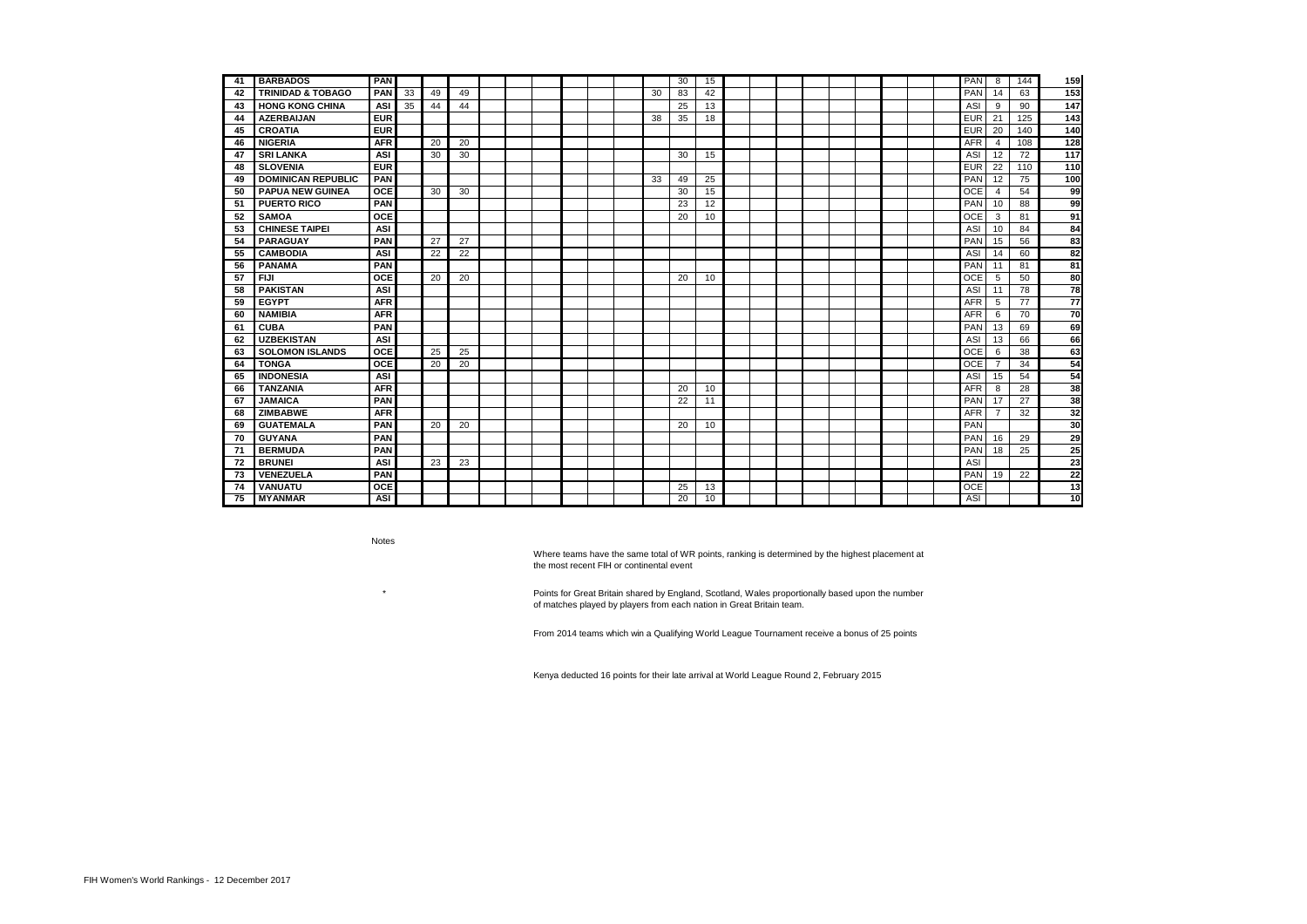| -41 | <b>BARBADOS</b>              | <b>PAN</b> |    |    |    |  |  |  |    | 30              | 15 |  |  |  |  | <b>PAN</b> | -8             | 144 | 159             |
|-----|------------------------------|------------|----|----|----|--|--|--|----|-----------------|----|--|--|--|--|------------|----------------|-----|-----------------|
| 42  | <b>TRINIDAD &amp; TOBAGO</b> | <b>PAN</b> | 33 | 49 | 49 |  |  |  | 30 | 83              | 42 |  |  |  |  | PAN        | 14             | 63  | 153             |
| 43  | <b>HONG KONG CHINA</b>       | <b>ASI</b> | 35 | 44 | 44 |  |  |  |    | 25              | 13 |  |  |  |  | ASI        | 9              | 90  | 147             |
| 44  | <b>AZERBAIJAN</b>            | <b>EUR</b> |    |    |    |  |  |  | 38 | 35              | 18 |  |  |  |  | <b>EUR</b> | 21             | 125 | 143             |
| 45  | <b>CROATIA</b>               | <b>EUR</b> |    |    |    |  |  |  |    |                 |    |  |  |  |  | <b>EUR</b> | 20             | 140 | 140             |
| 46  | <b>NIGERIA</b>               | <b>AFR</b> |    | 20 | 20 |  |  |  |    |                 |    |  |  |  |  | <b>AFR</b> | $\overline{4}$ | 108 | 128             |
| 47  | <b>SRI LANKA</b>             | <b>ASI</b> |    | 30 | 30 |  |  |  |    | 30              | 15 |  |  |  |  | ASI        | 12             | 72  | $\frac{1}{117}$ |
| 48  | <b>SLOVENIA</b>              | <b>EUR</b> |    |    |    |  |  |  |    |                 |    |  |  |  |  | <b>EUR</b> | 22             | 110 | 110             |
| 49  | <b>DOMINICAN REPUBLIC</b>    | <b>PAN</b> |    |    |    |  |  |  | 33 | 49              | 25 |  |  |  |  | PAN        | 12             | 75  | $\frac{1}{100}$ |
| 50  | <b>PAPUA NEW GUINEA</b>      | <b>OCE</b> |    | 30 | 30 |  |  |  |    | 30              | 15 |  |  |  |  | <b>OCE</b> | $\overline{4}$ | 54  | 99              |
| -51 | <b>PUERTO RICO</b>           | <b>PAN</b> |    |    |    |  |  |  |    | 23              | 12 |  |  |  |  | PAN        | 10             | 88  | 99              |
| 52  | <b>SAMOA</b>                 | <b>OCE</b> |    |    |    |  |  |  |    | 20              | 10 |  |  |  |  | <b>OCE</b> | 3              | 81  | 91              |
| 53  | <b>CHINESE TAIPEI</b>        | <b>ASI</b> |    |    |    |  |  |  |    |                 |    |  |  |  |  | ASI        | 10             | 84  | 84              |
| 54  | <b>PARAGUAY</b>              | <b>PAN</b> |    | 27 | 27 |  |  |  |    |                 |    |  |  |  |  | PAN        | 15             | 56  | 83              |
| 55  | <b>CAMBODIA</b>              | <b>ASI</b> |    | 22 | 22 |  |  |  |    |                 |    |  |  |  |  | ASI        | 14             | 60  | 82              |
| 56  | <b>PANAMA</b>                | <b>PAN</b> |    |    |    |  |  |  |    |                 |    |  |  |  |  | PAN        | 11             | 81  | 81              |
| 57  | <b>FIJI</b>                  | <b>OCE</b> |    | 20 | 20 |  |  |  |    | 20              | 10 |  |  |  |  | <b>OCE</b> | 5              | 50  | 80              |
| 58  | <b>PAKISTAN</b>              | <b>ASI</b> |    |    |    |  |  |  |    |                 |    |  |  |  |  | ASI        | 11             | 78  | 78              |
| 59  | <b>EGYPT</b>                 | <b>AFR</b> |    |    |    |  |  |  |    |                 |    |  |  |  |  | <b>AFR</b> | 5              | 77  | 77              |
| 60  | <b>NAMIBIA</b>               | <b>AFR</b> |    |    |    |  |  |  |    |                 |    |  |  |  |  | <b>AFR</b> | 6              | 70  | 70              |
| 61  | <b>CUBA</b>                  | <b>PAN</b> |    |    |    |  |  |  |    |                 |    |  |  |  |  | PAN        | 13             | 69  | 69              |
| 62  | <b>UZBEKISTAN</b>            | <b>ASI</b> |    |    |    |  |  |  |    |                 |    |  |  |  |  | ASI        | 13             | 66  | 66              |
| 63  | <b>SOLOMON ISLANDS</b>       | <b>OCE</b> |    | 25 | 25 |  |  |  |    |                 |    |  |  |  |  | <b>OCE</b> | 6              | 38  | 63              |
| 64  | <b>TONGA</b>                 | <b>OCE</b> |    | 20 | 20 |  |  |  |    |                 |    |  |  |  |  | <b>OCE</b> | $\overline{7}$ | 34  | $\overline{54}$ |
| 65  | <b>INDONESIA</b>             | <b>ASI</b> |    |    |    |  |  |  |    |                 |    |  |  |  |  | ASI        | 15             | 54  | 54              |
| 66  | <b>TANZANIA</b>              | <b>AFR</b> |    |    |    |  |  |  |    | 20              | 10 |  |  |  |  | <b>AFR</b> | 8              | 28  | 38              |
| 67  | <b>JAMAICA</b>               | <b>PAN</b> |    |    |    |  |  |  |    | 22              | 11 |  |  |  |  | PAN        | 17             | 27  | 38              |
| 68  | <b>ZIMBABWE</b>              | <b>AFR</b> |    |    |    |  |  |  |    |                 |    |  |  |  |  | <b>AFR</b> | $\overline{7}$ | 32  | 32              |
| 69  | <b>GUATEMALA</b>             | <b>PAN</b> |    | 20 | 20 |  |  |  |    | 20              | 10 |  |  |  |  | PAN        |                |     | 30              |
| 70  | <b>GUYANA</b>                | <b>PAN</b> |    |    |    |  |  |  |    |                 |    |  |  |  |  | PAN        | 16             | 29  | 29              |
| 71  | <b>BERMUDA</b>               | <b>PAN</b> |    |    |    |  |  |  |    |                 |    |  |  |  |  | PAN        | 18             | 25  | 25              |
| 72  | <b>BRUNEI</b>                | <b>ASI</b> |    | 23 | 23 |  |  |  |    |                 |    |  |  |  |  | ASI        |                |     | 23              |
| 73  | <b>VENEZUELA</b>             | <b>PAN</b> |    |    |    |  |  |  |    |                 |    |  |  |  |  | PAN        | 19             | 22  | 22              |
| 74  | <b>VANUATU</b>               | <b>OCE</b> |    |    |    |  |  |  |    | 25              | 13 |  |  |  |  | <b>OCE</b> |                |     | 13              |
| 75  | <b>MYANMAR</b>               | <b>ASI</b> |    |    |    |  |  |  |    | $\overline{20}$ | 10 |  |  |  |  | <b>ASI</b> |                |     | 10              |

Notes

 \* Points for Great Britain shared by England, Scotland, Wales proportionally based upon the number of matches played by players from each nation in Great Britain team.

Where teams have the same total of WR points, ranking is determined by the highest placement at the most recent FIH or continental event

From 2014 teams which win a Qualifying World League Tournament receive a bonus of 25 points

Kenya deducted 16 points for their late arrival at World League Round 2, February 2015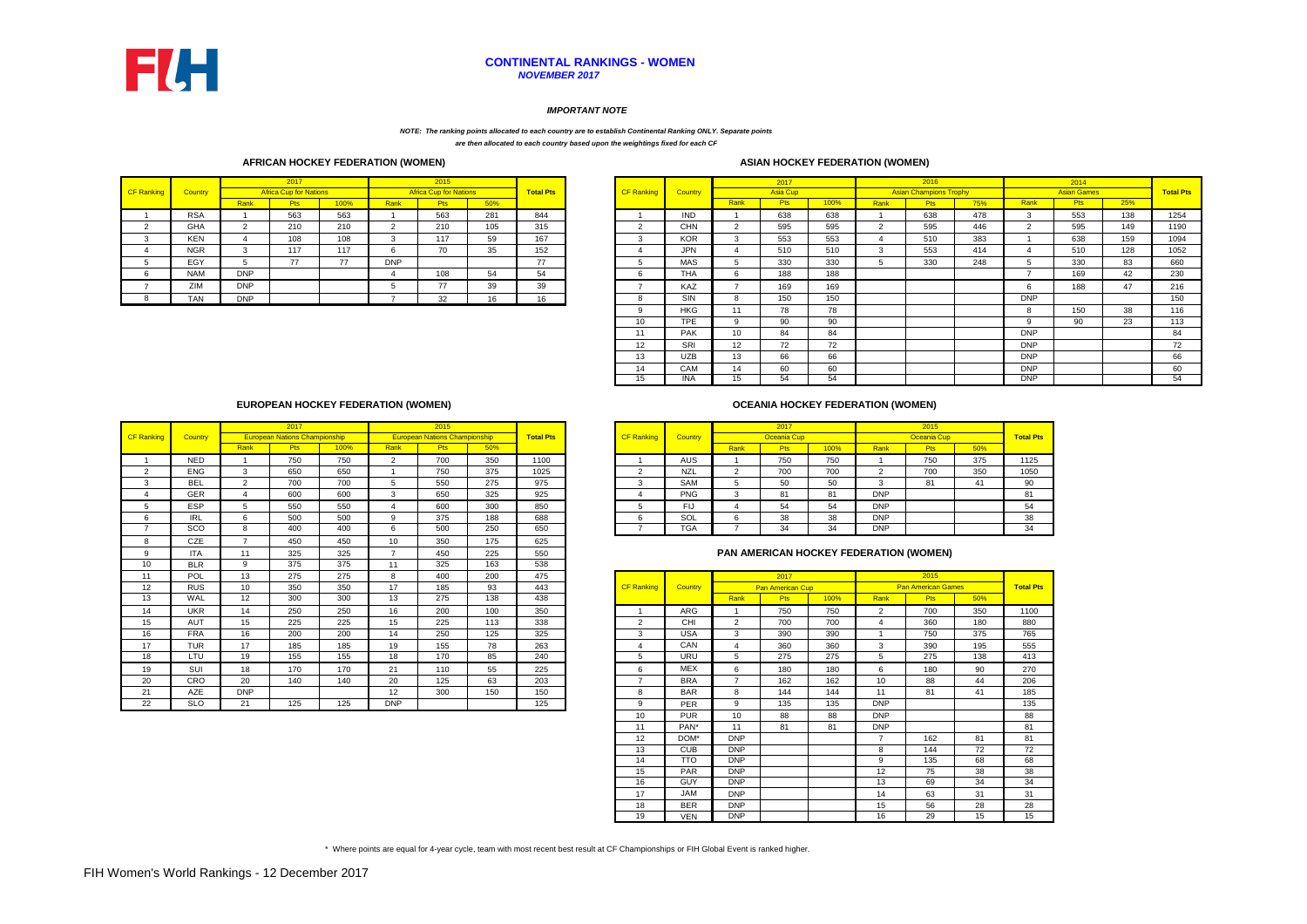|                   |            |            |            |      |                               |                |      |                               |                |            | 2017            |      |      | 2016 |     |                               | 2014               |     |                |
|-------------------|------------|------------|------------|------|-------------------------------|----------------|------|-------------------------------|----------------|------------|-----------------|------|------|------|-----|-------------------------------|--------------------|-----|----------------|
| <b>CF Ranking</b> | Country    |            |            |      |                               |                |      | <b>Total Pts</b>              | <b>Country</b> |            | <b>Asia Cup</b> |      |      |      |     |                               | <b>Asian Games</b> |     | <b>Total P</b> |
|                   |            | Rank       | <b>Pts</b> | 100% | Rank                          | <b>Pts</b>     | 50%  |                               |                | Rank       |                 | 100% | Rank | ະເວ. | 75% | Rank                          | <b>Pts</b>         | 25% |                |
|                   | <b>RSA</b> |            | 563        | 563  |                               | 563            | 281  | 844                           | <b>IND</b>     |            | 638             | 638  |      | 638  | 478 |                               | 553                | 138 | 1254           |
|                   | <b>GHA</b> |            | 210        | 210  |                               | 210            | 105  | 315                           | <b>CHN</b>     |            | 595             | 595  |      | 595  | 446 |                               | 595                | 149 | 1190           |
|                   | <b>KEN</b> |            | 108        | 108  |                               | 117            | 59   | 167                           | <b>KOR</b>     |            | 553             | 553  |      | 510  | 383 |                               | 638                | 159 | 1094           |
|                   | <b>NGR</b> |            | 117        | 117  |                               | 70             | 35   | 152                           | <b>JPN</b>     |            | 510             | 510  |      | 553  | 414 |                               | 510                | 128 | 1052           |
|                   | EGY        |            | 77         | 77   | <b>DNP</b>                    |                |      | $\overline{ }$                | <b>MAS</b>     |            | 330             | 330  |      | 330  | 248 |                               | 330                | 83  | 660            |
|                   | <b>NAM</b> | <b>DNP</b> |            |      |                               | 108            | -ن   | 54                            | THA            |            | 188             | 188  |      |      |     |                               | 169                | 42  | 230            |
|                   | ZIM        | <b>DNP</b> |            |      |                               | $\overline{ }$ | 39   | 39                            | KAZ            |            | 169             | 169  |      |      |     |                               | 188                | 47  | 216            |
|                   | <b>TAN</b> | <b>DNP</b> |            |      |                               | 32             | 10   | 16                            | SIN            |            | 150             | 150  |      |      |     | <b>DNP</b>                    |                    |     | 150            |
|                   |            |            |            | 2017 | <b>Africa Cup for Nations</b> |                | 2015 | <b>Africa Cup for Nations</b> |                | CF Ranking |                 |      |      |      |     | <b>Asian Champions Trophy</b> |                    |     |                |

|                |                |                | 2017            |      |                | 2016                          |     |            | 2014               |     |                  |
|----------------|----------------|----------------|-----------------|------|----------------|-------------------------------|-----|------------|--------------------|-----|------------------|
| <b>anking</b>  | <b>Country</b> |                | <b>Asia Cup</b> |      |                | <b>Asian Champions Trophy</b> |     |            | <b>Asian Games</b> |     | <b>Total Pts</b> |
|                |                | Rank           | <b>Pts</b>      | 100% | Rank           | <b>Pts</b>                    | 75% | Rank       | <b>Pts</b>         | 25% |                  |
|                | <b>IND</b>     |                | 638             | 638  | 1              | 638                           | 478 | 3          | 553                | 138 | 1254             |
| 2              | <b>CHN</b>     | 2              | 595             | 595  | $\overline{2}$ | 595                           | 446 | 2          | 595                | 149 | 1190             |
| 3              | <b>KOR</b>     | 3              | 553             | 553  | 4              | 510                           | 383 |            | 638                | 159 | 1094             |
| 4              | <b>JPN</b>     | 4              | 510             | 510  | 3              | 553                           | 414 | 4          | 510                | 128 | 1052             |
| 5              | <b>MAS</b>     | 5              | 330             | 330  | 5              | 330                           | 248 | 5          | 330                | 83  | 660              |
| 6              | <b>THA</b>     | 6              | 188             | 188  |                |                               |     | 7          | 169                | 42  | 230              |
| $\overline{7}$ | KAZ            | $\overline{7}$ | 169             | 169  |                |                               |     | 6          | 188                | 47  | 216              |
| 8              | <b>SIN</b>     | 8              | 150             | 150  |                |                               |     | <b>DNP</b> |                    |     | 150              |
| 9              | <b>HKG</b>     | 11             | 78              | 78   |                |                               |     | 8          | 150                | 38  | 116              |
| 10             | <b>TPE</b>     | 9              | 90              | 90   |                |                               |     | 9          | 90                 | 23  | 113              |
| 11             | <b>PAK</b>     | 10             | 84              | 84   |                |                               |     | <b>DNP</b> |                    |     | 84               |
| 12             | <b>SRI</b>     | 12             | 72              | 72   |                |                               |     | <b>DNP</b> |                    |     | 72               |
| 13             | <b>UZB</b>     | 13             | 66              | 66   |                |                               |     | <b>DNP</b> |                    |     | 66               |
| 14             | CAM            | 14             | 60              | 60   |                |                               |     | <b>DNP</b> |                    |     | 60               |
| 15             | <b>INA</b>     | 15             | 54              | 54   |                |                               |     | <b>DNP</b> |                    |     | 54               |

|         |            |      | 2017                                 |         |      | 2015                                 |     |                  |                   |                |      | 2017               |                  |            | 2015        |     |                  |
|---------|------------|------|--------------------------------------|---------|------|--------------------------------------|-----|------------------|-------------------|----------------|------|--------------------|------------------|------------|-------------|-----|------------------|
| ankinal | Country    |      | <b>European Nations Championship</b> |         |      | <b>European Nations Championship</b> |     | <b>Total Pts</b> | <b>CF Ranking</b> | <b>Country</b> |      | <b>Oceania Cup</b> |                  |            | Oceania Cup |     | <b>Total Pts</b> |
|         |            | Rank | <b>Pts</b>                           | $100\%$ | Rank | <b>Pts</b>                           | 50% |                  |                   |                | Rank | <b>Pts</b>         | 100%             | Rank       | <b>Pts</b>  | 50% |                  |
|         | <b>NED</b> |      | 750                                  | 750     |      | 700                                  | 350 | 1100             |                   | AUS            |      | 750                | 750              |            | 750         | 375 | 1125             |
|         | <b>ENG</b> |      | 650                                  | 650     |      | 750                                  | 375 | 1025             |                   | <b>NZL</b>     |      | 700                | 700              |            | 700         | 350 | 1050             |
|         | BEL        |      | 700                                  | 700     |      | 550                                  | 275 | 975              |                   | <b>SAM</b>     |      | 50                 | 50<br>ັບບ        |            | o           |     | 90               |
|         | <b>GER</b> |      | 600                                  | 600     |      | 650                                  | 325 | 925              |                   | <b>PNG</b>     |      | 81                 | 81               | <b>DNP</b> |             |     | 04<br>o          |
|         | <b>ESP</b> |      | 550                                  | 550     |      | 600                                  | 300 | 850              |                   | Flo            |      | 54                 | $ \lambda$<br>54 | <b>DNP</b> |             |     | 54               |
|         | IRL        |      | 500                                  | 500     |      | 375                                  | 188 | 688              |                   | SOL            |      | 38                 | 38               | <b>DNP</b> |             |     | 38               |
|         | <b>SCO</b> |      | 400                                  | 400     |      | 500                                  | 250 | 650              |                   | <b>TGA</b>     |      | 34                 | 34               | <b>DNP</b> |             |     | 34               |

|                   |            |                          | 2017                                 |      |                | 2015                                 |     |                  |                                               |                   |                |                | 2017                    |      |                 | 2015                      |     |                |
|-------------------|------------|--------------------------|--------------------------------------|------|----------------|--------------------------------------|-----|------------------|-----------------------------------------------|-------------------|----------------|----------------|-------------------------|------|-----------------|---------------------------|-----|----------------|
| <b>CF Ranking</b> | Country    |                          | <b>European Nations Championship</b> |      |                | <b>European Nations Championship</b> |     | <b>Total Pts</b> |                                               | <b>CF Ranking</b> | <b>Country</b> |                | <b>Oceania Cup</b>      |      |                 | Oceania Cup               |     | <b>Total P</b> |
|                   |            | Rank                     | <b>Pts</b>                           | 100% | Rank           | <b>Pts</b>                           | 50% |                  |                                               |                   |                | Rank           | <b>Pts</b>              | 100% | Rank            | Pts                       | 50% |                |
|                   | <b>NED</b> |                          | 750                                  | 750  | 2              | 700                                  | 350 | 1100             |                                               |                   | <b>AUS</b>     |                | 750                     | 750  |                 | 750                       | 375 | 1125           |
| $\overline{2}$    | <b>ENG</b> | 3                        | 650                                  | 650  |                | 750                                  | 375 | 1025             |                                               | $\overline{2}$    | <b>NZL</b>     | 2              | 700                     | 700  | 2               | 700                       | 350 | 1050           |
| 3                 | <b>BEL</b> | $\overline{2}$           | 700                                  | 700  | 5              | 550                                  | 275 | 975              |                                               | 3                 | <b>SAM</b>     | 5              | 50                      | 50   | 3               | 81                        | 41  | 90             |
| 4                 | <b>GER</b> | 4                        | 600                                  | 600  | 3              | 650                                  | 325 | 925              |                                               |                   | <b>PNG</b>     | 3              | 81                      | 81   | <b>DNP</b>      |                           |     | 81             |
| 5                 | <b>ESP</b> | 5                        | 550                                  | 550  | 4              | 600                                  | 300 | 850              |                                               | 5                 | <b>FIJ</b>     | 4              | 54                      | 54   | <b>DNP</b>      |                           |     | 54             |
| 6                 | <b>IRL</b> | 6                        | 500                                  | 500  | 9              | 375                                  | 188 | 688              |                                               | 6                 | SOL            | 6              | 38                      | 38   | <b>DNP</b>      |                           |     | 38             |
| 7                 | <b>SCO</b> | 8                        | 400                                  | 400  | 6              | 500                                  | 250 | 650              |                                               |                   | <b>TGA</b>     | $\overline{7}$ | 34                      | 34   | DNP             |                           |     | 34             |
| 8                 | CZE        | $\overline{\phantom{a}}$ | 450                                  | 450  | 10             | 350                                  | 175 | 625              |                                               |                   |                |                |                         |      |                 |                           |     |                |
| 9                 | <b>ITA</b> | 11                       | 325                                  | 325  | $\overline{7}$ | 450                                  | 225 | 550              | <b>PAN AMERICAN HOCKEY FEDERATION (WOMEN)</b> |                   |                |                |                         |      |                 |                           |     |                |
| 10                | <b>BLR</b> | 9                        | 375                                  | 375  | 11             | 325                                  | 163 | 538              |                                               |                   |                |                |                         |      |                 |                           |     |                |
| 11                | POL        | 13                       | 275                                  | 275  | 8              | 400                                  | 200 | 475              |                                               |                   |                |                | 2017                    |      |                 | 2015                      |     |                |
| 12                | <b>RUS</b> | 10                       | 350                                  | 350  | 17             | 185                                  | 93  | 443              |                                               | <b>CF Ranking</b> | <b>Country</b> |                | <b>Pan American Cup</b> |      |                 | <b>Pan American Games</b> |     | <b>Total P</b> |
| 13                | WAL        | 12                       | 300                                  | 300  | 13             | 275                                  | 138 | 438              |                                               |                   |                | Rank           | <b>Pts</b>              | 100% | Rank            | <b>Pts</b>                | 50% |                |
| 14                | <b>UKR</b> | 14                       | 250                                  | 250  | 16             | 200                                  | 100 | 350              |                                               |                   | <b>ARG</b>     |                | 750                     | 750  | $\overline{2}$  | 700                       | 350 | 1100           |
| 15                | <b>AUT</b> | 15                       | 225                                  | 225  | 15             | 225                                  | 113 | 338              |                                               | $\overline{2}$    | <b>CHI</b>     | 2              | 700                     | 700  |                 | 360                       | 180 | 880            |
| 16                | <b>FRA</b> | 16                       | 200                                  | 200  | 14             | 250                                  | 125 | 325              |                                               | 3                 | <b>USA</b>     | 3              | 390                     | 390  |                 | 750                       | 375 | 765            |
| 17                | <b>TUR</b> | 17                       | 185                                  | 185  | 19             | 155                                  | 78  | 263              |                                               |                   | CAN            | 4              | 360                     | 360  | 3               | 390                       | 195 | 555            |
| 18                | LTU        | 19                       | 155                                  | 155  | 18             | 170                                  | 85  | 240              |                                               | 5                 | <b>URU</b>     | 5              | 275                     | 275  | 5               | 275                       | 138 | 413            |
| 19                | SUI        | 18                       | 170                                  | 170  | 21             | 110                                  | 55  | 225              |                                               | 6                 | <b>MEX</b>     | 6              | 180                     | 180  | 6               | 180                       | 90  | 270            |
| 20                | <b>CRO</b> | 20                       | 140                                  | 140  | 20             | 125                                  | 63  | 203              |                                               | -                 | <b>BRA</b>     | $\overline{ }$ | 162                     | 162  | 10 <sup>°</sup> | 88                        | 44  | 206            |
| 21                | <b>AZE</b> | <b>DNP</b>               |                                      |      | 12             | 300                                  | 150 | 150              |                                               | 8                 | <b>BAR</b>     | 8              | 144                     | 144  | 11              | 81                        | 41  | 185            |
| 22                | <b>SLO</b> | 21                       | 125                                  | 125  | <b>DNP</b>     |                                      |     | 125              |                                               | 9                 | <b>PER</b>     | 9              | 135                     | 135  | <b>DNP</b>      |                           |     | 135            |

\* Where points are equal for 4-year cycle, team with most recent best result at CF Championships or FIH Global Event is ranked higher.

#### *IMPORTANT NOTE*

### **CONTINENTAL RANKINGS - WOMEN** *NOVEMBER 2017*

*NOTE: The ranking points allocated to each country are to establish Continental Ranking ONLY. Separate points are then allocated to each country based upon the weightings fixed for each CF* 

| 11 | POL        | 13         | 275 | 275 | 8          | 400 | 200 | 475 |                          |            |                      | 2017                    |      |                   | 2015                      |                 |                  |
|----|------------|------------|-----|-----|------------|-----|-----|-----|--------------------------|------------|----------------------|-------------------------|------|-------------------|---------------------------|-----------------|------------------|
| 12 | <b>RUS</b> | 10         | 350 | 350 | 17         | 185 | 93  | 443 | <b>CF Ranking</b>        | Country    |                      | <b>Pan American Cup</b> |      |                   | <b>Pan American Games</b> |                 | <b>Total Pts</b> |
| 13 | WAL        | 12         | 300 | 300 | 13         | 275 | 138 | 438 |                          |            | Rank                 | <b>Pts</b>              | 100% | Rank              | <b>Pts</b>                | 50%             |                  |
| 14 | <b>UKR</b> | 14         | 250 | 250 | 16         | 200 | 100 | 350 |                          | ARG        |                      | 750                     | 750  | 2                 | 700                       | 350             | 1100             |
| 15 | <b>AUT</b> | 15         | 225 | 225 | 15         | 225 | 113 | 338 | 2                        | <b>CHI</b> | $\mathbf{2}^{\circ}$ | 700                     | 700  |                   | 360                       | 180             | 880              |
| 16 | <b>FRA</b> | 16         | 200 | 200 | 14         | 250 | 125 | 325 | 3                        | <b>USA</b> | 3                    | 390                     | 390  |                   | 750                       | 375             | 765              |
| 17 | <b>TUR</b> | 17         | 185 | 185 | 19         | 155 | 78  | 263 | 4                        | CAN        | 4                    | 360                     | 360  | 3                 | 390                       | 195             | 555              |
| 18 | LTU        | 19         | 155 | 155 | 18         | 170 | 85  | 240 | 5                        | <b>URU</b> | 5                    | 275                     | 275  | 5                 | 275                       | 138             | 413              |
| 19 | SUI        | 18         | 170 | 170 | 21         | 110 | 55  | 225 | 6                        | <b>MEX</b> | 6                    | 180                     | 180  | 6                 | 180                       | 90              | 270              |
| 20 | <b>CRO</b> | 20         | 140 | 140 | 20         | 125 | 63  | 203 | $\overline{\phantom{a}}$ | <b>BRA</b> | $\overline{ }$       | 162                     | 162  | 10                | 88                        | 44              | 206              |
| 21 | <b>AZE</b> | <b>DNP</b> |     |     | 12         | 300 | 150 | 150 | 8                        | <b>BAR</b> | 8                    | 144                     | 144  | 11                | 81                        | 41              | 185              |
| 22 | <b>SLO</b> | 21         | 125 | 125 | <b>DNP</b> |     |     | 125 | 9                        | <b>PER</b> | 9                    | 135                     | 135  | <b>DNP</b>        |                           |                 | 135              |
|    |            |            |     |     |            |     |     |     | 10                       | <b>PUR</b> | 10                   | 88                      | 88   | <b>DNP</b>        |                           |                 | 88               |
|    |            |            |     |     |            |     |     |     | 11                       | PAN*       | 11                   | 81                      | 81   | <b>DNP</b>        |                           |                 | 81               |
|    |            |            |     |     |            |     |     |     | 12                       | DOM*       | <b>DNP</b>           |                         |      | $\overline{7}$    | 162                       | 81              | 81               |
|    |            |            |     |     |            |     |     |     | 13                       | <b>CUB</b> | <b>DNP</b>           |                         |      | 8                 | 144                       | 72              | 72               |
|    |            |            |     |     |            |     |     |     | 14                       | <b>TTO</b> | <b>DNP</b>           |                         |      | 9                 | 135                       | 68              | 68               |
|    |            |            |     |     |            |     |     |     | 15                       | <b>PAR</b> | <b>DNP</b>           |                         |      | $12 \overline{ }$ | 75                        | 38              | 38               |
|    |            |            |     |     |            |     |     |     | 16                       | <b>GUY</b> | <b>DNP</b>           |                         |      | 13                | 69                        | 34              | 34               |
|    |            |            |     |     |            |     |     |     | 17                       | JAM        | <b>DNP</b>           |                         |      | 14                | 63                        | 31              | 31               |
|    |            |            |     |     |            |     |     |     | 18                       | <b>BER</b> | <b>DNP</b>           |                         |      | 15                | 56                        | 28              | 28               |
|    |            |            |     |     |            |     |     |     | 19                       | <b>VEN</b> | <b>DNP</b>           |                         |      | 16                | $\overline{29}$           | $\overline{15}$ | 15               |

#### **AFRICAN HOCKEY FEDERATION (WOMEN)**

| <b>ASIAN HOCKEY FEDERATION (V</b> |  |  |
|-----------------------------------|--|--|
|                                   |  |  |

# **OCEANIA HOCKEY FEDERATION (WOMEN)**

#### **EUROPEAN HOCKEY FEDERATION (WOMEN)**

## **PAN AMERICAN HOCKEY FEDERATION (WOMEN)**



# **WOMEN)**